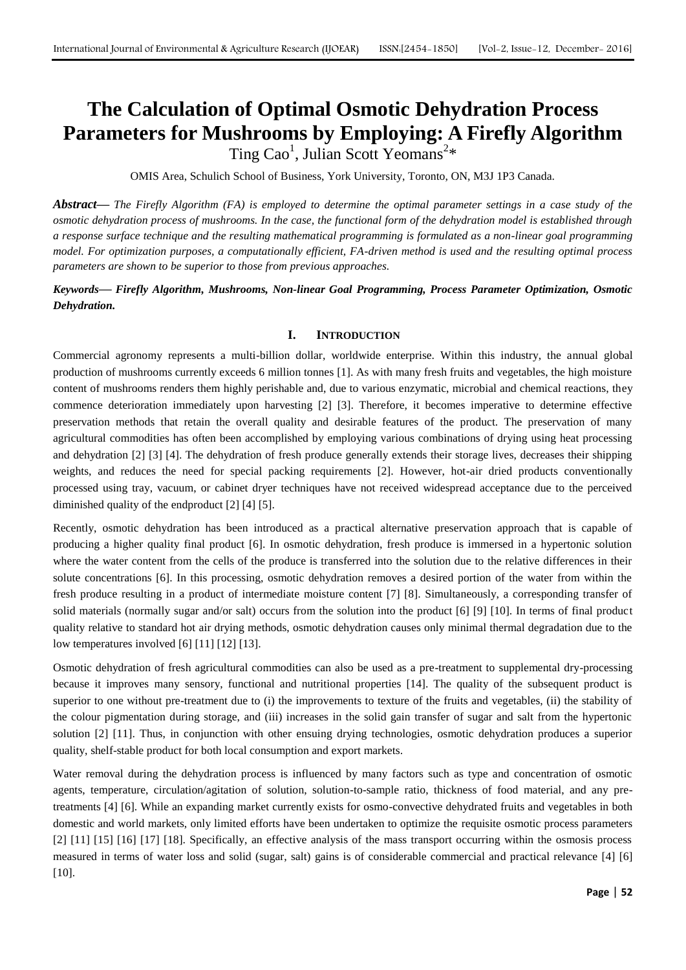# **The Calculation of Optimal Osmotic Dehydration Process Parameters for Mushrooms by Employing: A Firefly Algorithm**

Ting Cao<sup>1</sup>, Julian Scott Yeomans<sup>2\*</sup>

OMIS Area, Schulich School of Business, York University, Toronto, ON, M3J 1P3 Canada.

*Abstract***—** *The Firefly Algorithm (FA) is employed to determine the optimal parameter settings in a case study of the osmotic dehydration process of mushrooms. In the case, the functional form of the dehydration model is established through a response surface technique and the resulting mathematical programming is formulated as a non-linear goal programming model. For optimization purposes, a computationally efficient, FA-driven method is used and the resulting optimal process parameters are shown to be superior to those from previous approaches.*

## *Keywords***—** *Firefly Algorithm, Mushrooms, Non-linear Goal Programming, Process Parameter Optimization, Osmotic Dehydration.*

## **I. INTRODUCTION**

Commercial agronomy represents a multi-billion dollar, worldwide enterprise. Within this industry, the annual global production of mushrooms currently exceeds 6 million tonnes [1]. As with many fresh fruits and vegetables, the high moisture content of mushrooms renders them highly perishable and, due to various enzymatic, microbial and chemical reactions, they commence deterioration immediately upon harvesting [2] [3]. Therefore, it becomes imperative to determine effective preservation methods that retain the overall quality and desirable features of the product. The preservation of many agricultural commodities has often been accomplished by employing various combinations of drying using heat processing and dehydration [2] [3] [4]. The dehydration of fresh produce generally extends their storage lives, decreases their shipping weights, and reduces the need for special packing requirements [2]. However, hot-air dried products conventionally processed using tray, vacuum, or cabinet dryer techniques have not received widespread acceptance due to the perceived diminished quality of the endproduct [2] [4] [5].

Recently, osmotic dehydration has been introduced as a practical alternative preservation approach that is capable of producing a higher quality final product [6]. In osmotic dehydration, fresh produce is immersed in a hypertonic solution where the water content from the cells of the produce is transferred into the solution due to the relative differences in their solute concentrations [6]. In this processing, osmotic dehydration removes a desired portion of the water from within the fresh produce resulting in a product of intermediate moisture content [7] [8]. Simultaneously, a corresponding transfer of solid materials (normally sugar and/or salt) occurs from the solution into the product [6] [9] [10]. In terms of final product quality relative to standard hot air drying methods, osmotic dehydration causes only minimal thermal degradation due to the low temperatures involved [6] [11] [12] [13].

Osmotic dehydration of fresh agricultural commodities can also be used as a pre-treatment to supplemental dry-processing because it improves many sensory, functional and nutritional properties [14]. The quality of the subsequent product is superior to one without pre-treatment due to (i) the improvements to texture of the fruits and vegetables, (ii) the stability of the colour pigmentation during storage, and (iii) increases in the solid gain transfer of sugar and salt from the hypertonic solution [2] [11]. Thus, in conjunction with other ensuing drying technologies, osmotic dehydration produces a superior quality, shelf-stable product for both local consumption and export markets.

Water removal during the dehydration process is influenced by many factors such as type and concentration of osmotic agents, temperature, circulation/agitation of solution, solution-to-sample ratio, thickness of food material, and any pretreatments [4] [6]. While an expanding market currently exists for osmo-convective dehydrated fruits and vegetables in both domestic and world markets, only limited efforts have been undertaken to optimize the requisite osmotic process parameters [2] [11] [15] [16] [17] [18]. Specifically, an effective analysis of the mass transport occurring within the osmosis process measured in terms of water loss and solid (sugar, salt) gains is of considerable commercial and practical relevance [4] [6] [10].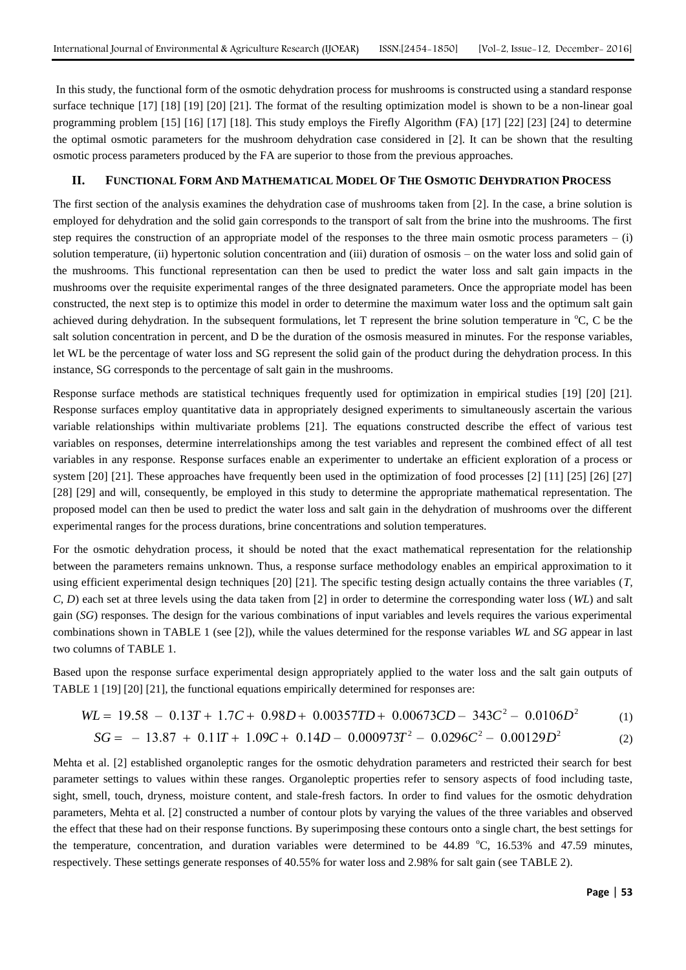In this study, the functional form of the osmotic dehydration process for mushrooms is constructed using a standard response surface technique [17] [18] [19] [20] [21]. The format of the resulting optimization model is shown to be a non-linear goal programming problem [15] [16] [17] [18]. This study employs the Firefly Algorithm (FA) [17] [22] [23] [24] to determine the optimal osmotic parameters for the mushroom dehydration case considered in [2]. It can be shown that the resulting osmotic process parameters produced by the FA are superior to those from the previous approaches.

#### **II. FUNCTIONAL FORM AND MATHEMATICAL MODEL OF THE OSMOTIC DEHYDRATION PROCESS**

The first section of the analysis examines the dehydration case of mushrooms taken from [2]. In the case, a brine solution is employed for dehydration and the solid gain corresponds to the transport of salt from the brine into the mushrooms. The first step requires the construction of an appropriate model of the responses to the three main osmotic process parameters  $-$  (i) solution temperature, (ii) hypertonic solution concentration and (iii) duration of osmosis – on the water loss and solid gain of the mushrooms. This functional representation can then be used to predict the water loss and salt gain impacts in the mushrooms over the requisite experimental ranges of the three designated parameters. Once the appropriate model has been constructed, the next step is to optimize this model in order to determine the maximum water loss and the optimum salt gain achieved during dehydration. In the subsequent formulations, let T represent the brine solution temperature in  $\mathrm{C}$ , C be the salt solution concentration in percent, and D be the duration of the osmosis measured in minutes. For the response variables, let WL be the percentage of water loss and SG represent the solid gain of the product during the dehydration process. In this instance, SG corresponds to the percentage of salt gain in the mushrooms.

Response surface methods are statistical techniques frequently used for optimization in empirical studies [19] [20] [21]. Response surfaces employ quantitative data in appropriately designed experiments to simultaneously ascertain the various variable relationships within multivariate problems [21]. The equations constructed describe the effect of various test variables on responses, determine interrelationships among the test variables and represent the combined effect of all test variables in any response. Response surfaces enable an experimenter to undertake an efficient exploration of a process or system [20] [21]. These approaches have frequently been used in the optimization of food processes [2] [11] [25] [26] [27] [28] [29] and will, consequently, be employed in this study to determine the appropriate mathematical representation. The proposed model can then be used to predict the water loss and salt gain in the dehydration of mushrooms over the different experimental ranges for the process durations, brine concentrations and solution temperatures.

For the osmotic dehydration process, it should be noted that the exact mathematical representation for the relationship between the parameters remains unknown. Thus, a response surface methodology enables an empirical approximation to it using efficient experimental design techniques [20] [21]. The specific testing design actually contains the three variables (*T, C, D*) each set at three levels using the data taken from [2] in order to determine the corresponding water loss (*WL*) and salt gain (*SG*) responses. The design for the various combinations of input variables and levels requires the various experimental combinations shown in TABLE 1 (see [2]), while the values determined for the response variables *WL* and *SG* appear in last two columns of TABLE 1.

Based upon the response surface experimental design appropriately applied to the water loss and the salt gain outputs of TABLE 1 [19] [20] [21], the functional equations empirically determined for responses are:<br>  $WL = 19.58 - 0.13T + 1.7C + 0.98D + 0.00357TD + 0.00673CD - 343C^2 - 0.0106D$ <br>  $SG = -13.87 + 0.11T + 1.09C + 0.14D - 0.000973T^2 - 0.0296C^2 - 0.00$ 2 2 1 19 2 2 1 19 2 2 1 1 2 2 2 1 1 2 2 2 1 1 2 2 2 1 1 2 2 2 1 1 2 2 2 1 1 2 2 2 1 1 2 2 2 1 1 2 2 2 1 1 2 2 2 1 1 2 2 2 1 2 2 1 1 2 2 2 1 2 2 2 1 2 2 2 1 2 2 2 1 2 2 2 1 2 2 2 1 2 2 2 1 2 2 2 1 2 2 2 1 2 2 2 1 2 2 2 1 2

$$
WL = 19.58 - 0.13T + 1.7C + 0.98D + 0.00357TD + 0.00673CD - 343C^2 - 0.0106D^2 \tag{1}
$$

$$
SG = -13.87 + 0.11T + 1.09C + 0.14D - 0.000973T^2 - 0.0296C^2 - 0.00129D^2 \tag{2}
$$

Mehta et al. [2] established organoleptic ranges for the osmotic dehydration parameters and restricted their search for best parameter settings to values within these ranges. Organoleptic properties refer to sensory aspects of food including taste, sight, smell, touch, dryness, moisture content, and stale-fresh factors. In order to find values for the osmotic dehydration parameters, Mehta et al. [2] constructed a number of contour plots by varying the values of the three variables and observed the effect that these had on their response functions. By superimposing these contours onto a single chart, the best settings for the temperature, concentration, and duration variables were determined to be 44.89  $^{\circ}$ C, 16.53% and 47.59 minutes, respectively. These settings generate responses of 40.55% for water loss and 2.98% for salt gain (see TABLE 2).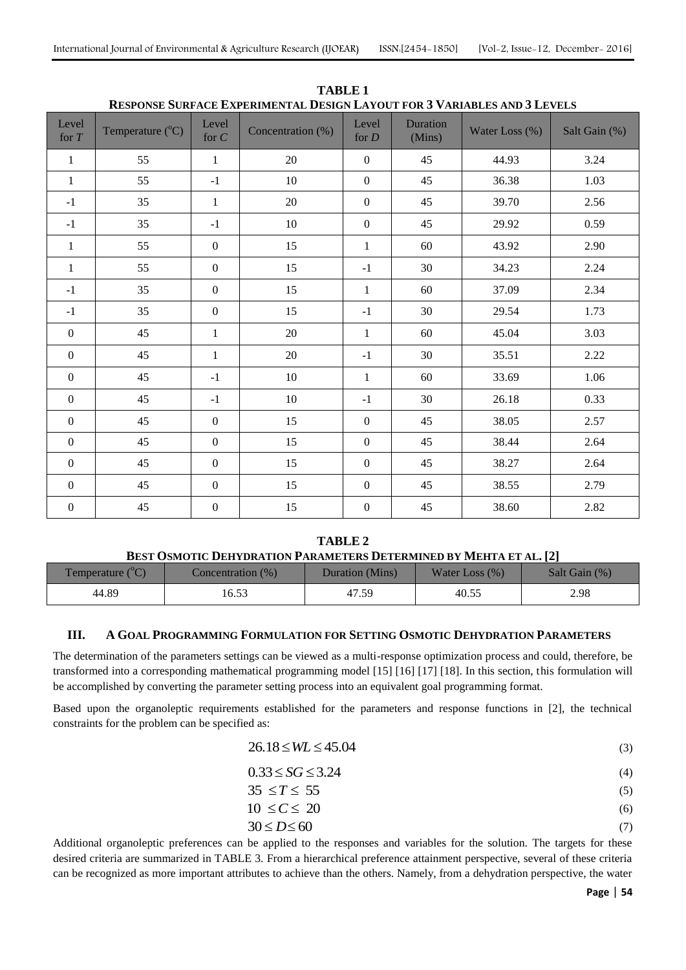| Level<br>for $T$ | Temperature $(^{\circ}C)$ | Level<br>for $\cal C$ | Concentration (%) | Level<br>for $D$ | Duration<br>(Mins) | Water Loss (%) | Salt Gain (%) |
|------------------|---------------------------|-----------------------|-------------------|------------------|--------------------|----------------|---------------|
| $\mathbf{1}$     | 55                        | $\mathbf{1}$          | $20\,$            | $\boldsymbol{0}$ | 45                 | 44.93          | 3.24          |
| $\mathbf{1}$     | 55                        | $-1$                  | 10                | $\boldsymbol{0}$ | 45                 | 36.38          | 1.03          |
| $-1$             | 35                        | $\mathbf{1}$          | 20                | $\overline{0}$   | 45                 | 39.70          | 2.56          |
| $-1$             | 35                        | $-1$                  | 10                | $\boldsymbol{0}$ | 45                 | 29.92          | 0.59          |
| $\mathbf{1}$     | 55                        | $\boldsymbol{0}$      | 15                | $\mathbf{1}$     | 60                 | 43.92          | 2.90          |
| $\mathbf{1}$     | 55                        | $\boldsymbol{0}$      | 15                | $-1$             | 30                 | 34.23          | 2.24          |
| $-1$             | 35                        | $\overline{0}$        | 15                | $\mathbf{1}$     | 60                 | 37.09          | 2.34          |
| $-1$             | 35                        | $\boldsymbol{0}$      | 15                | $-1$             | 30                 | 29.54          | 1.73          |
| $\overline{0}$   | 45                        | $\mathbf{1}$          | 20                | $\mathbf{1}$     | 60                 | 45.04          | 3.03          |
| $\overline{0}$   | 45                        | $\mathbf{1}$          | $20\,$            | $-1$             | $30\,$             | 35.51          | 2.22          |
| $\overline{0}$   | 45                        | $-1$                  | $10\,$            | $\mathbf{1}$     | 60                 | 33.69          | 1.06          |
| $\Omega$         | 45                        | $-1$                  | 10                | $-1$             | 30                 | 26.18          | 0.33          |
| $\overline{0}$   | 45                        | $\boldsymbol{0}$      | 15                | $\boldsymbol{0}$ | 45                 | 38.05          | 2.57          |
| $\mathbf{0}$     | 45                        | $\boldsymbol{0}$      | 15                | $\boldsymbol{0}$ | 45                 | 38.44          | 2.64          |
| $\overline{0}$   | 45                        | $\mathbf{0}$          | 15                | $\overline{0}$   | 45                 | 38.27          | 2.64          |
| $\Omega$         | 45                        | $\overline{0}$        | 15                | $\overline{0}$   | 45                 | 38.55          | 2.79          |
| $\boldsymbol{0}$ | 45                        | $\boldsymbol{0}$      | 15                | $\boldsymbol{0}$ | $45\,$             | 38.60          | 2.82          |

**TABLE 1 RESPONSE SURFACE EXPERIMENTAL DESIGN LAYOUT FOR 3 VARIABLES AND 3 LEVELS**

## **TABLE 2**

**BEST OSMOTIC DEHYDRATION PARAMETERS DETERMINED BY MEHTA ET AL. [2]**

| Temperature $(^{\circ}C)$ | Concentration (%) | Duration (Mins) | Water Loss $(\%)$ | Salt Gain (%) |
|---------------------------|-------------------|-----------------|-------------------|---------------|
| 44.89                     | 16.53             | 47.59           | 40.55             | 2.98          |

## **III. A GOAL PROGRAMMING FORMULATION FOR SETTING OSMOTIC DEHYDRATION PARAMETERS**

The determination of the parameters settings can be viewed as a multi-response optimization process and could, therefore, be transformed into a corresponding mathematical programming model [15] [16] [17] [18]. In this section, this formulation will be accomplished by converting the parameter setting process into an equivalent goal programming format.

Based upon the organoleptic requirements established for the parameters and response functions in [2], the technical constraints for the problem can be specified as:

| $26.18 \leq W L \leq 45.04$ |  |
|-----------------------------|--|
|                             |  |

$$
0.33 \le SG \le 3.24\tag{4}
$$

$$
35 \le T \le 55 \tag{5}
$$

$$
10 \le C \le 20 \tag{6}
$$

$$
30 \le D \le 60 \tag{7}
$$

Additional organoleptic preferences can be applied to the responses and variables for the solution. The targets for these desired criteria are summarized in TABLE 3. From a hierarchical preference attainment perspective, several of these criteria can be recognized as more important attributes to achieve than the others. Namely, from a dehydration perspective, the water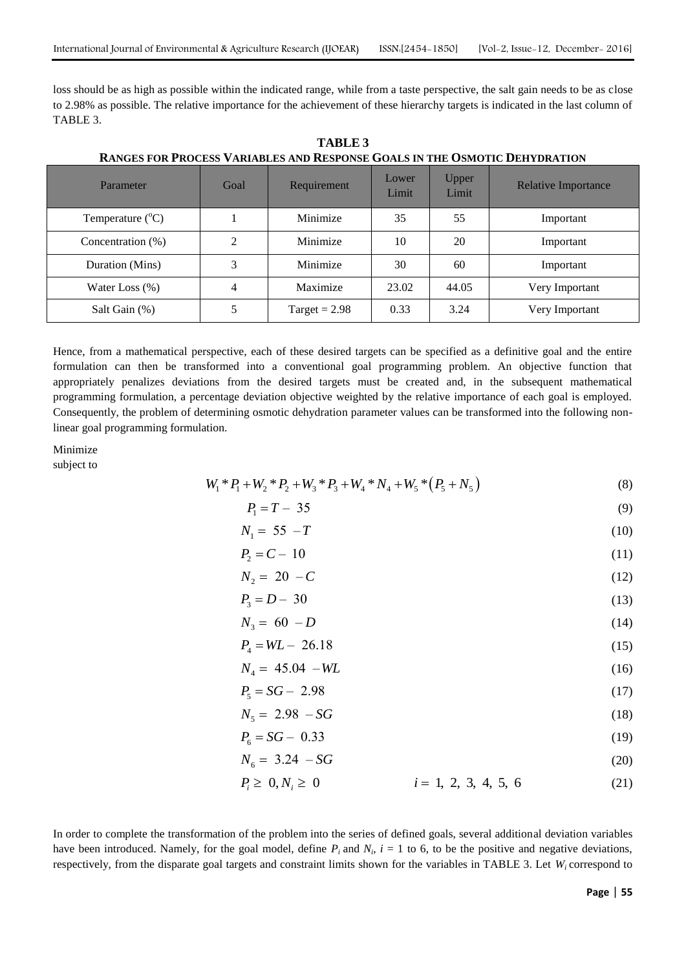loss should be as high as possible within the indicated range, while from a taste perspective, the salt gain needs to be as close to 2.98% as possible. The relative importance for the achievement of these hierarchy targets is indicated in the last column of TABLE 3.

| Parameter                 | Goal | Requirement     | Lower<br>Limit | Upper<br>Limit | <b>Relative Importance</b> |
|---------------------------|------|-----------------|----------------|----------------|----------------------------|
| Temperature $(^{\circ}C)$ |      | Minimize        | 35             | 55             | Important                  |
| Concentration (%)         | ∍    | Minimize        | 10             | 20             | Important                  |
| Duration (Mins)           | 3    | Minimize        | 30             | 60             | Important                  |
| Water Loss $(\% )$        | 4    | Maximize        | 23.02          | 44.05          | Very Important             |
| Salt Gain (%)             |      | Target = $2.98$ | 0.33           | 3.24           | Very Important             |

**TABLE 3 RANGES FOR PROCESS VARIABLES AND RESPONSE GOALS IN THE OSMOTIC DEHYDRATION**

Hence, from a mathematical perspective, each of these desired targets can be specified as a definitive goal and the entire formulation can then be transformed into a conventional goal programming problem. An objective function that appropriately penalizes deviations from the desired targets must be created and, in the subsequent mathematical programming formulation, a percentage deviation objective weighted by the relative importance of each goal is employed. Consequently, the problem of determining osmotic dehydration parameter values can be transformed into the following nonlinear goal programming formulation.

Minimize

subject to

| $W_1 * P_1 + W_2 * P_2 + W_3 * P_3 + W_4 * N_4 + W_5 * (P_5 + N_5)$ | (8) |
|---------------------------------------------------------------------|-----|

$$
P_1 = T - 35\tag{9}
$$

$$
N_1 = 55 - T \tag{10}
$$

$$
P_2 = C - 10\tag{11}
$$

$$
N_2 = 20 - C \tag{12}
$$

$$
P_3 = D - 30\tag{13}
$$

$$
N_3 = 60 - D \tag{14}
$$

$$
P_4 = WL - 26.18 \tag{15}
$$

$$
N_4 = 45.04 - WL \tag{16}
$$

$$
P_5 = SG - 2.98\tag{17}
$$

$$
N_5 = 2.98 - SG \tag{18}
$$

$$
P_6 = SG - 0.33 \tag{19}
$$

$$
N_6 = 3.24 - SG
$$
\n
$$
P_i \ge 0, N_i \ge 0
$$
\n
$$
i = 1, 2, 3, 4, 5, 6
$$
\n(20)\n(21)

$$
P_i \geq 0, N_i \geq 0 \qquad \qquad i = 1, 2, 3, 4, 5, 6 \qquad (21)
$$

In order to complete the transformation of the problem into the series of defined goals, several additional deviation variables have been introduced. Namely, for the goal model, define  $P_i$  and  $N_i$ ,  $i = 1$  to 6, to be the positive and negative deviations, respectively, from the disparate goal targets and constraint limits shown for the variables in TABLE 3. Let *W<sup>i</sup>* correspond to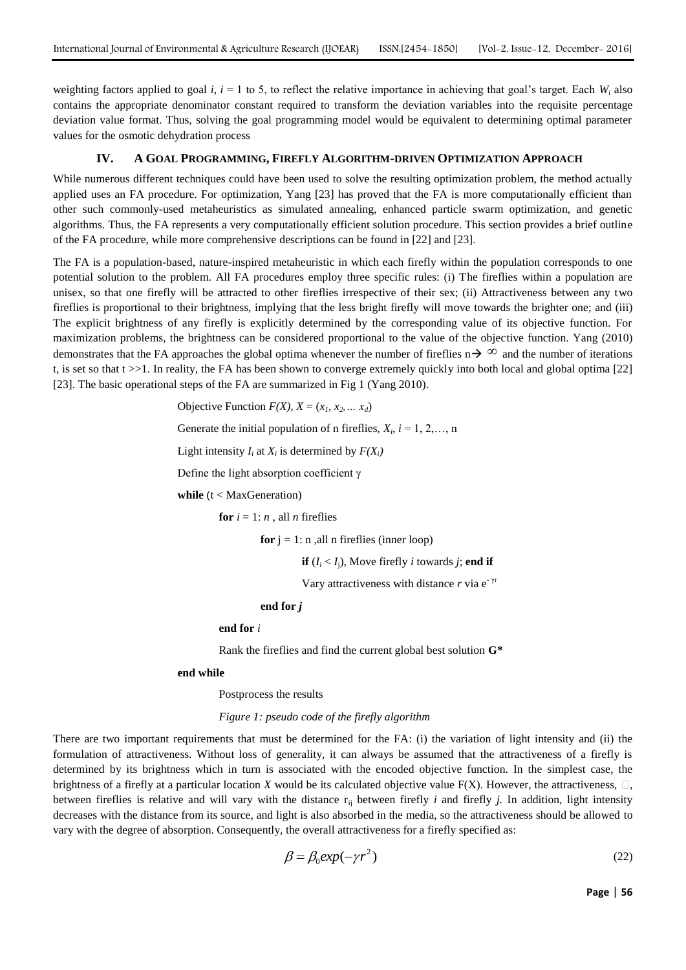weighting factors applied to goal  $i$ ,  $i = 1$  to 5, to reflect the relative importance in achieving that goal's target. Each  $W_i$  also contains the appropriate denominator constant required to transform the deviation variables into the requisite percentage deviation value format. Thus, solving the goal programming model would be equivalent to determining optimal parameter values for the osmotic dehydration process

#### **IV. A GOAL PROGRAMMING, FIREFLY ALGORITHM-DRIVEN OPTIMIZATION APPROACH**

While numerous different techniques could have been used to solve the resulting optimization problem, the method actually applied uses an FA procedure. For optimization, Yang [23] has proved that the FA is more computationally efficient than other such commonly-used metaheuristics as simulated annealing, enhanced particle swarm optimization, and genetic algorithms. Thus, the FA represents a very computationally efficient solution procedure. This section provides a brief outline of the FA procedure, while more comprehensive descriptions can be found in [22] and [23].

The FA is a population-based, nature-inspired metaheuristic in which each firefly within the population corresponds to one potential solution to the problem. All FA procedures employ three specific rules: (i) The fireflies within a population are unisex, so that one firefly will be attracted to other fireflies irrespective of their sex; (ii) Attractiveness between any two fireflies is proportional to their brightness, implying that the less bright firefly will move towards the brighter one; and (iii) The explicit brightness of any firefly is explicitly determined by the corresponding value of its objective function. For maximization problems, the brightness can be considered proportional to the value of the objective function. Yang (2010) demonstrates that the FA approaches the global optima whenever the number of fireflies  $n \rightarrow \infty$  and the number of iterations t, is set so that t >>1. In reality, the FA has been shown to converge extremely quickly into both local and global optima [22] [23]. The basic operational steps of the FA are summarized in Fig 1 (Yang 2010).

Objective Function  $F(X)$ ,  $X = (x_1, x_2, \ldots, x_d)$ 

Generate the initial population of n fireflies,  $X_i$ ,  $i = 1, 2, \ldots, n$ 

Light intensity  $I_i$  at  $X_i$  is determined by  $F(X_i)$ 

Define the light absorption coefficient γ

**while** (t < MaxGeneration)

**for**  $i = 1$ : *n*, all *n* fireflies

**for**  $i = 1$ : n , all n fireflies (inner loop)

**if**  $(I_i < I_j)$ , Move firefly *i* towards *j*; **end if** 

Vary attractiveness with distance  $r$  via  $e^{-\gamma r}$ 

#### **end for** *j*

**end for** *i*

Rank the fireflies and find the current global best solution **G\***

#### **end while**

Postprocess the results

*Figure 1: pseudo code of the firefly algorithm*

There are two important requirements that must be determined for the FA: (i) the variation of light intensity and (ii) the formulation of attractiveness. Without loss of generality, it can always be assumed that the attractiveness of a firefly is determined by its brightness which in turn is associated with the encoded objective function. In the simplest case, the brightness of a firefly at a particular location X would be its calculated objective value  $F(X)$ . However, the attractiveness,  $\Box$ , between fireflies is relative and will vary with the distance r<sub>ij</sub> between firefly *i* and firefly *j*. In addition, light intensity decreases with the distance from its source, and light is also absorbed in the media, so the attractiveness should be allowed to vary with the degree of absorption. Consequently, the overall attractiveness for a firefly specified as:

$$
\beta = \beta_0 \exp(-\gamma r^2) \tag{22}
$$

**Page** | **56**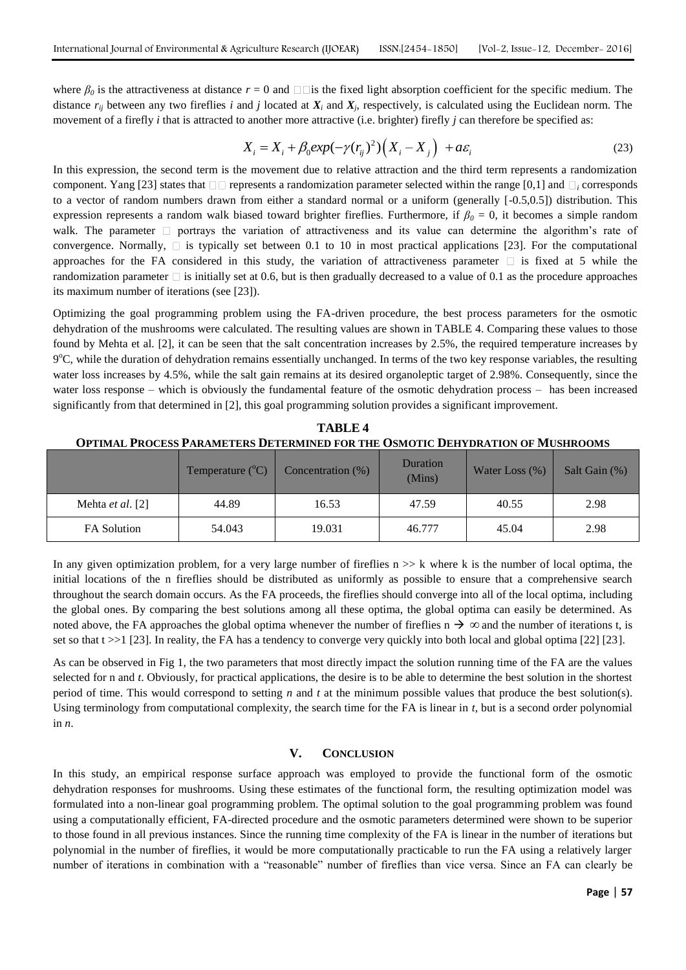where  $\beta_0$  is the attractiveness at distance  $r = 0$  and  $\Box$  is the fixed light absorption coefficient for the specific medium. The distance *rij* between any two fireflies *i* and *j* located at *X<sup>i</sup>* and *X<sup>j</sup>* , respectively, is calculated using the Euclidean norm. The

\n movement of a firefly *i* that is attracted to another more attractive (i.e. brighter) firefly *j* can therefore be specified as:\n 
$$
X_i = X_i + \beta_0 \exp(-\gamma (r_{ij})^2) \left( X_i - X_j \right) + a \varepsilon_i
$$
\n

In this expression, the second term is the movement due to relative attraction and the third term represents a randomization component. Yang [23] states that  $\square \square$  represents a randomization parameter selected within the range [0,1] and  $\square_i$  corresponds to a vector of random numbers drawn from either a standard normal or a uniform (generally [-0.5,0.5]) distribution. This expression represents a random walk biased toward brighter fireflies. Furthermore, if *β<sup>0</sup>* = 0, it becomes a simple random walk. The parameter  $\Box$  portrays the variation of attractiveness and its value can determine the algorithm's rate of convergence. Normally,  $\Box$  is typically set between 0.1 to 10 in most practical applications [23]. For the computational approaches for the FA considered in this study, the variation of attractiveness parameter  $\Box$  is fixed at 5 while the randomization parameter  $\Box$  is initially set at 0.6, but is then gradually decreased to a value of 0.1 as the procedure approaches its maximum number of iterations (see [23]).

Optimizing the goal programming problem using the FA-driven procedure, the best process parameters for the osmotic dehydration of the mushrooms were calculated. The resulting values are shown in TABLE 4. Comparing these values to those found by Mehta et al. [2], it can be seen that the salt concentration increases by 2.5%, the required temperature increases by 9°C, while the duration of dehydration remains essentially unchanged. In terms of the two key response variables, the resulting water loss increases by 4.5%, while the salt gain remains at its desired organoleptic target of 2.98%. Consequently, since the water loss response – which is obviously the fundamental feature of the osmotic dehydration process – has been increased significantly from that determined in [2], this goal programming solution provides a significant improvement.

|                           | Temperature $(^{\circ}C)$ | Concentration (%) | Duration<br>(Mins) | Water Loss $(\%)$ | Salt Gain (%) |
|---------------------------|---------------------------|-------------------|--------------------|-------------------|---------------|
| Mehta <i>et al.</i> $[2]$ | 44.89                     | 16.53             | 47.59              | 40.55             | 2.98          |
| <b>FA</b> Solution        | 54.043                    | 19.031            | 46.777             | 45.04             | 2.98          |

**TABLE 4 OPTIMAL PROCESS PARAMETERS DETERMINED FOR THE OSMOTIC DEHYDRATION OF MUSHROOMS**

In any given optimization problem, for a very large number of fireflies  $n \gg k$  where k is the number of local optima, the initial locations of the n fireflies should be distributed as uniformly as possible to ensure that a comprehensive search throughout the search domain occurs. As the FA proceeds, the fireflies should converge into all of the local optima, including the global ones. By comparing the best solutions among all these optima, the global optima can easily be determined. As noted above, the FA approaches the global optima whenever the number of fireflies  $n \to \infty$  and the number of iterations t, is set so that t >>1 [23]. In reality, the FA has a tendency to converge very quickly into both local and global optima [22] [23].

As can be observed in Fig 1, the two parameters that most directly impact the solution running time of the FA are the values selected for n and *t*. Obviously, for practical applications, the desire is to be able to determine the best solution in the shortest period of time. This would correspond to setting *n* and *t* at the minimum possible values that produce the best solution(s). Using terminology from computational complexity, the search time for the FA is linear in *t*, but is a second order polynomial in *n*.

### **V. CONCLUSION**

In this study, an empirical response surface approach was employed to provide the functional form of the osmotic dehydration responses for mushrooms. Using these estimates of the functional form, the resulting optimization model was formulated into a non-linear goal programming problem. The optimal solution to the goal programming problem was found using a computationally efficient, FA-directed procedure and the osmotic parameters determined were shown to be superior to those found in all previous instances. Since the running time complexity of the FA is linear in the number of iterations but polynomial in the number of fireflies, it would be more computationally practicable to run the FA using a relatively larger number of iterations in combination with a "reasonable" number of fireflies than vice versa. Since an FA can clearly be